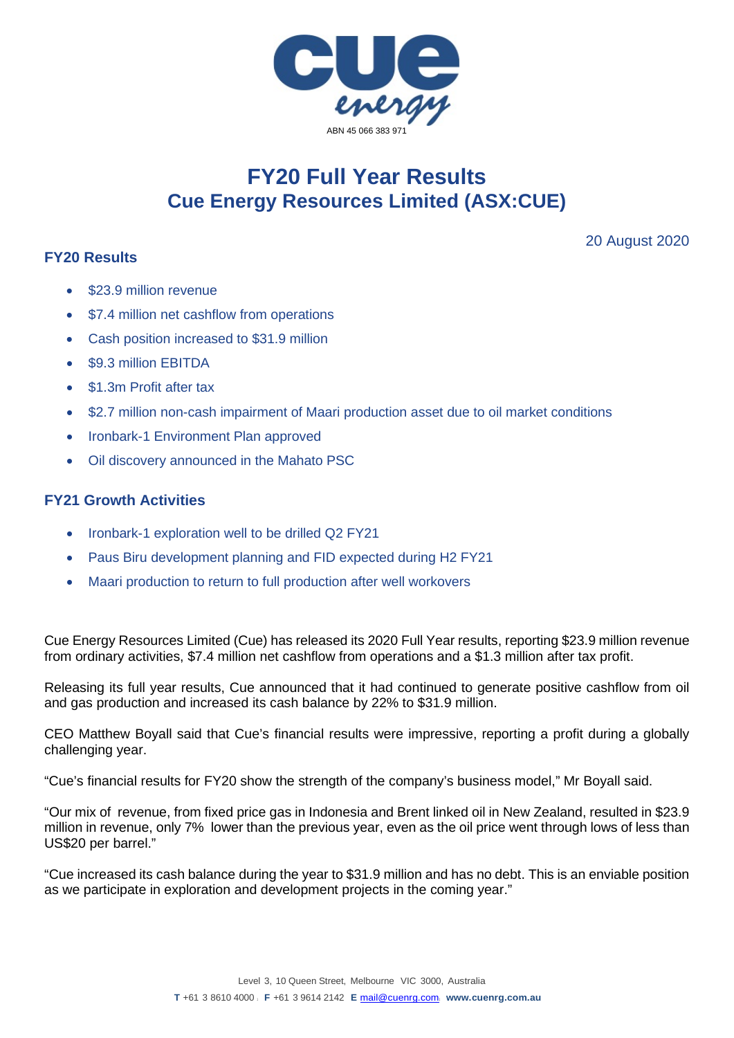

## **FY20 Full Year Results Cue Energy Resources Limited (ASX:CUE)**

## **FY20 Results**

20 August 2020

- \$23.9 million revenue
- \$7.4 million net cashflow from operations
- Cash position increased to \$31.9 million
- \$9.3 million EBITDA
- \$1.3m Profit after tax
- \$2.7 million non-cash impairment of Maari production asset due to oil market conditions
- Ironbark-1 Environment Plan approved
- Oil discovery announced in the Mahato PSC

## **FY21 Growth Activities**

- Ironbark-1 exploration well to be drilled Q2 FY21
- Paus Biru development planning and FID expected during H2 FY21
- Maari production to return to full production after well workovers

Cue Energy Resources Limited (Cue) has released its 2020 Full Year results, reporting \$23.9 million revenue from ordinary activities, \$7.4 million net cashflow from operations and a \$1.3 million after tax profit.

Releasing its full year results, Cue announced that it had continued to generate positive cashflow from oil and gas production and increased its cash balance by 22% to \$31.9 million.

CEO Matthew Boyall said that Cue's financial results were impressive, reporting a profit during a globally challenging year.

"Cue's financial results for FY20 show the strength of the company's business model," Mr Boyall said.

"Our mix of revenue, from fixed price gas in Indonesia and Brent linked oil in New Zealand, resulted in \$23.9 million in revenue, only 7% lower than the previous year, even as the oil price went through lows of less than US\$20 per barrel."

"Cue increased its cash balance during the year to \$31.9 million and has no debt. This is an enviable position as we participate in exploration and development projects in the coming year."